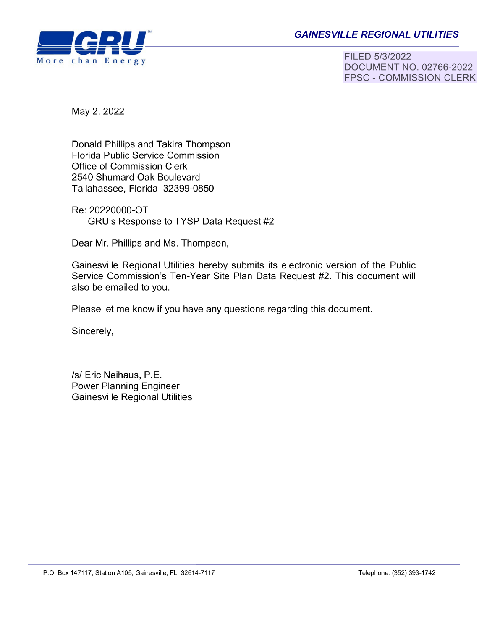# *\_\_\_\_\_\_\_\_\_\_ G\_AJ\_N\_~\_Vi\_~\_L\_E\_R\_E\_G\_JO\_N\_A\_L\_U\_n\_L\_JTi\_~\_s*



FILED 51312022 DOCUMENT NO. 02766-2022 FPSC - COMMISSION CLERK

May 2, 2022

Donald Phillips and Takira Thompson Florida Public Service Commission Office of Commission Clerk 2540 Shumard Oak Boulevard Tallahassee, Florida 32399-0850

Re: 20220000-OT GRU's Response to TYSP Data Request #2

Dear Mr. Phillips and Ms. Thompson,

Gainesville Regional Utilities hereby submits its electronic version of the Public Service Commission's Ten-Year Site Plan Data Request #2. This document will also be emailed to you.

Please let me know if you have any questions regarding this document.

Sincerely,

/s/ Eric Neihaus, P.E. Power Planning Engineer Gainesville Regional Utilities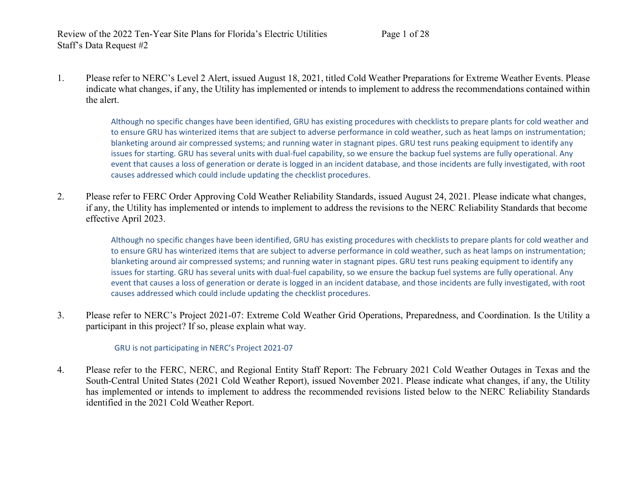1. Please refer to NERC's Level 2 Alert, issued August 18, 2021, titled Cold Weather Preparations for Extreme Weather Events. Please indicate what changes, if any, the Utility has implemented or intends to implement to address the recommendations contained within the alert.

Although no specific changes have been identified, GRU has existing procedures with checklists to prepare plants for cold weather and to ensure GRU has winterized items that are subject to adverse performance in cold weather, such as heat lamps on instrumentation; blanketing around air compressed systems; and running water in stagnant pipes. GRU test runs peaking equipment to identify any issues for starting. GRU has several units with dual-fuel capability, so we ensure the backup fuel systems are fully operational. Any event that causes a loss of generation or derate is logged in an incident database, and those incidents are fully investigated, with root causes addressed which could include updating the checklist procedures.

2. Please refer to FERC Order Approving Cold Weather Reliability Standards, issued August 24, 2021. Please indicate what changes, if any, the Utility has implemented or intends to implement to address the revisions to the NERC Reliability Standards that become effective April 2023.

Although no specific changes have been identified, GRU has existing procedures with checklists to prepare plants for cold weather and to ensure GRU has winterized items that are subject to adverse performance in cold weather, such as heat lamps on instrumentation; blanketing around air compressed systems; and running water in stagnant pipes. GRU test runs peaking equipment to identify any issues for starting. GRU has several units with dual-fuel capability, so we ensure the backup fuel systems are fully operational. Any event that causes a loss of generation or derate is logged in an incident database, and those incidents are fully investigated, with root causes addressed which could include updating the checklist procedures.

3. Please refer to NERC's Project 2021-07: Extreme Cold Weather Grid Operations, Preparedness, and Coordination. Is the Utility a participant in this project? If so, please explain what way.

GRU is not participating in NERC's Project 2021-07

4. Please refer to the FERC, NERC, and Regional Entity Staff Report: The February 2021 Cold Weather Outages in Texas and the South-Central United States (2021 Cold Weather Report), issued November 2021. Please indicate what changes, if any, the Utility has implemented or intends to implement to address the recommended revisions listed below to the NERC Reliability Standards identified in the 2021 Cold Weather Report.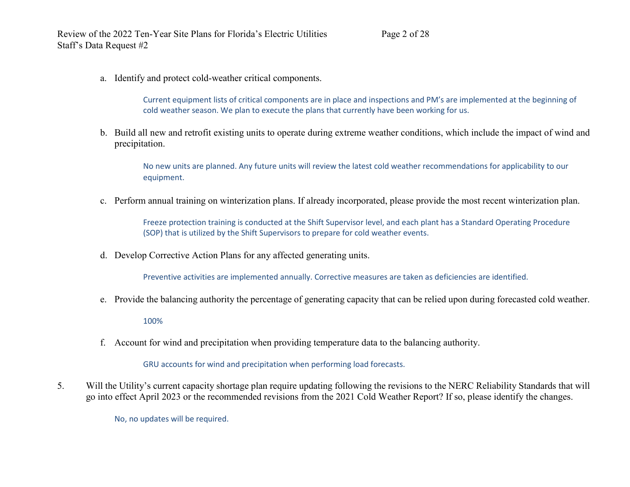a. Identify and protect cold-weather critical components.

Current equipment lists of critical components are in place and inspections and PM's are implemented at the beginning of cold weather season. We plan to execute the plans that currently have been working for us.

b. Build all new and retrofit existing units to operate during extreme weather conditions, which include the impact of wind and precipitation.

No new units are planned. Any future units will review the latest cold weather recommendations for applicability to our equipment.

c. Perform annual training on winterization plans. If already incorporated, please provide the most recent winterization plan.

Freeze protection training is conducted at the Shift Supervisor level, and each plant has a Standard Operating Procedure (SOP) that is utilized by the Shift Supervisors to prepare for cold weather events.

d. Develop Corrective Action Plans for any affected generating units.

Preventive activities are implemented annually. Corrective measures are taken as deficiencies are identified.

e. Provide the balancing authority the percentage of generating capacity that can be relied upon during forecasted cold weather.

100%

f. Account for wind and precipitation when providing temperature data to the balancing authority.

GRU accounts for wind and precipitation when performing load forecasts.

5. Will the Utility's current capacity shortage plan require updating following the revisions to the NERC Reliability Standards that will go into effect April 2023 or the recommended revisions from the 2021 Cold Weather Report? If so, please identify the changes.

No, no updates will be required.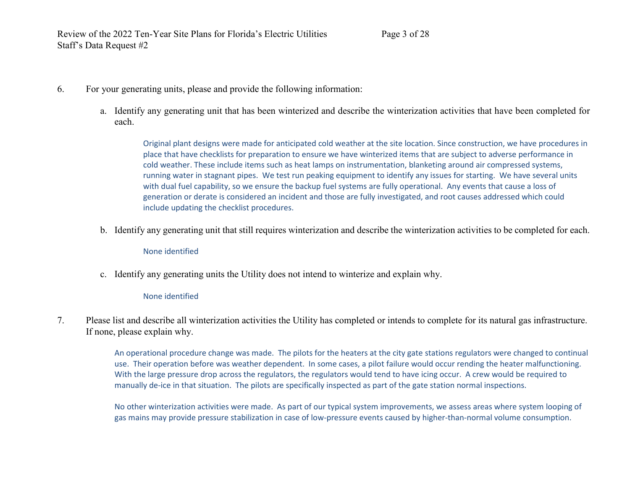- 6. For your generating units, please and provide the following information:
	- a. Identify any generating unit that has been winterized and describe the winterization activities that have been completed for each.

Original plant designs were made for anticipated cold weather at the site location. Since construction, we have procedures in place that have checklists for preparation to ensure we have winterized items that are subject to adverse performance in cold weather. These include items such as heat lamps on instrumentation, blanketing around air compressed systems, running water in stagnant pipes. We test run peaking equipment to identify any issues for starting. We have several units with dual fuel capability, so we ensure the backup fuel systems are fully operational. Any events that cause a loss of generation or derate is considered an incident and those are fully investigated, and root causes addressed which could include updating the checklist procedures.

b. Identify any generating unit that still requires winterization and describe the winterization activities to be completed for each.

#### None identified

c. Identify any generating units the Utility does not intend to winterize and explain why.

#### None identified

7. Please list and describe all winterization activities the Utility has completed or intends to complete for its natural gas infrastructure. If none, please explain why.

> An operational procedure change was made. The pilots for the heaters at the city gate stations regulators were changed to continual use. Their operation before was weather dependent. In some cases, a pilot failure would occur rending the heater malfunctioning. With the large pressure drop across the regulators, the regulators would tend to have icing occur. A crew would be required to manually de-ice in that situation. The pilots are specifically inspected as part of the gate station normal inspections.

No other winterization activities were made. As part of our typical system improvements, we assess areas where system looping of gas mains may provide pressure stabilization in case of low-pressure events caused by higher-than-normal volume consumption.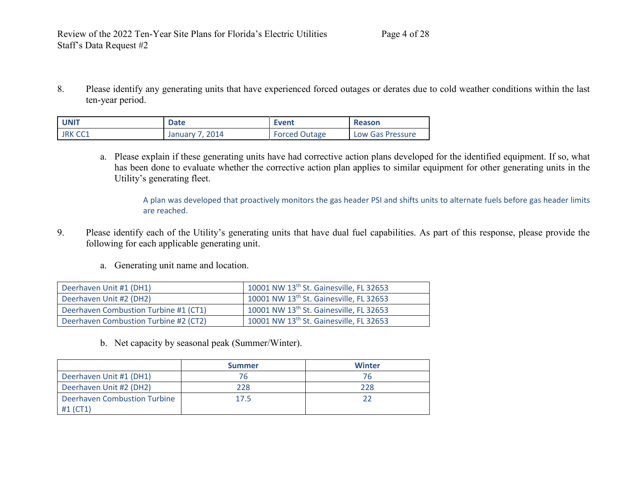8. Please identify any generating units that have experienced forced outages or derates due to cold weather conditions within the last ten-year period.

| <b>UNIT</b>    | <b>Date</b>     | Event                | Reason           |
|----------------|-----------------|----------------------|------------------|
| <b>JRK CC1</b> | January 7, 2014 | <b>Forced Outage</b> | Low Gas Pressure |

a. Please explain if these generating units have had corrective action plans developed for the identified equipment. If so, what has been done to evaluate whether the corrective action plan applies to similar equipment for other generating units in the Utility's generating fleet.

A plan was developed that proactively monitors the gas header PSI and shifts units to alternate fuels before gas header limits are reached.

- 9. Please identify each of the Utility's generating units that have dual fuel capabilities. As part of this response, please provide the following for each applicable generating unit.
	- a. Generating unit name and location.

| Deerhaven Unit #1 (DH1)               | 10001 NW 13 <sup>th</sup> St. Gainesville, FL 32653 |
|---------------------------------------|-----------------------------------------------------|
| Deerhaven Unit #2 (DH2)               | 10001 NW 13 <sup>th</sup> St. Gainesville, FL 32653 |
| Deerhaven Combustion Turbine #1 (CT1) | 10001 NW 13 <sup>th</sup> St. Gainesville, FL 32653 |
| Deerhaven Combustion Turbine #2 (CT2) | 10001 NW 13th St. Gainesville, FL 32653             |

b. Net capacity by seasonal peak (Summer/Winter).

|                              | <b>Summer</b> | <b>Winter</b> |
|------------------------------|---------------|---------------|
| Deerhaven Unit #1 (DH1)      | 76            | 76            |
| Deerhaven Unit #2 (DH2)      | 228           | 228           |
| Deerhaven Combustion Turbine | 17.5          |               |
| #1 (CT1)                     |               |               |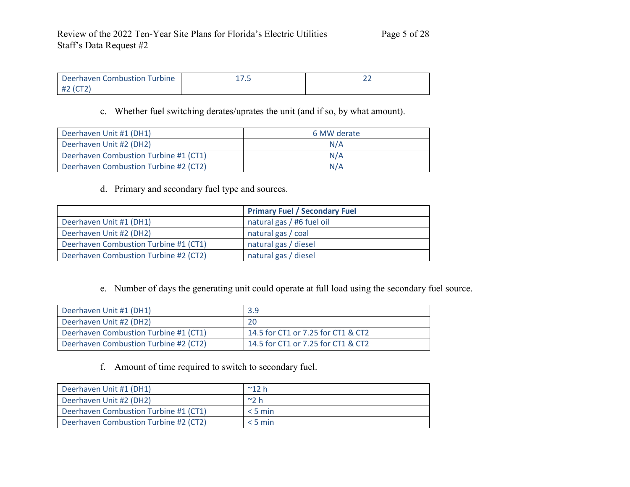| Deerhaven Combustion Turbine | . <i>. .</i> . |  |
|------------------------------|----------------|--|
| ᅲᄼ                           |                |  |

### c. Whether fuel switching derates/uprates the unit (and if so, by what amount).

| Deerhaven Unit #1 (DH1)               | 6 MW derate |
|---------------------------------------|-------------|
| Deerhaven Unit #2 (DH2)               | N/A         |
| Deerhaven Combustion Turbine #1 (CT1) | N/A         |
| Deerhaven Combustion Turbine #2 (CT2) | N/A         |

## d. Primary and secondary fuel type and sources.

|                                       | <b>Primary Fuel / Secondary Fuel</b> |
|---------------------------------------|--------------------------------------|
| Deerhaven Unit #1 (DH1)               | natural gas / #6 fuel oil            |
| Deerhaven Unit #2 (DH2)               | natural gas / coal                   |
| Deerhaven Combustion Turbine #1 (CT1) | natural gas / diesel                 |
| Deerhaven Combustion Turbine #2 (CT2) | natural gas / diesel                 |

#### e. Number of days the generating unit could operate at full load using the secondary fuel source.

| Deerhaven Unit #1 (DH1)               | 3.9                                |
|---------------------------------------|------------------------------------|
| Deerhaven Unit #2 (DH2)               | -20                                |
| Deerhaven Combustion Turbine #1 (CT1) | 14.5 for CT1 or 7.25 for CT1 & CT2 |
| Deerhaven Combustion Turbine #2 (CT2) | 14.5 for CT1 or 7.25 for CT1 & CT2 |

## f. Amount of time required to switch to secondary fuel.

| Deerhaven Unit #1 (DH1)               | $^{\sim}$ 12 h |
|---------------------------------------|----------------|
| Deerhaven Unit #2 (DH2)               | $\sim$ 2 h     |
| Deerhaven Combustion Turbine #1 (CT1) | $<$ 5 min      |
| Deerhaven Combustion Turbine #2 (CT2) | $< 5$ min      |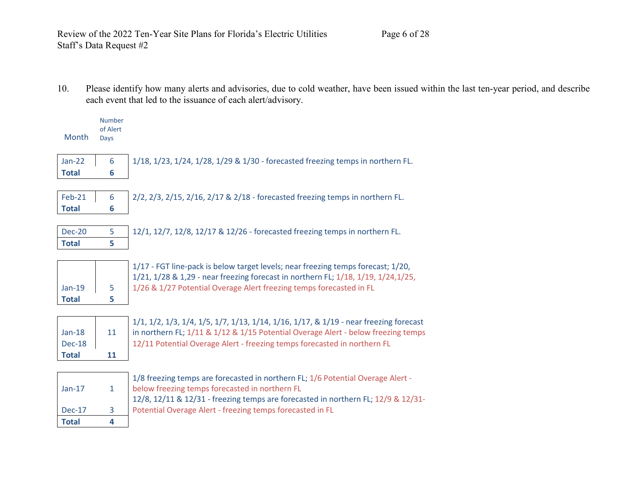10. Please identify how many alerts and advisories, due to cold weather, have been issued within the last ten-year period, and describe each event that led to the issuance of each alert/advisory.

|       | <b>Number</b> |
|-------|---------------|
|       | of Alert      |
| Month | Days          |

| $Jan-22$     | 6 | 1/18, 1/23, 1/24, 1/28, 1/29 & 1/30 - forecasted freezing temps in northern FL.  |
|--------------|---|----------------------------------------------------------------------------------|
| <b>Total</b> | 6 |                                                                                  |
|              |   |                                                                                  |
| Feb-21       | 6 | 2/2, 2/3, 2/15, 2/16, 2/17 & 2/18 - forecasted freezing temps in northern FL.    |
| <b>Total</b> | 6 |                                                                                  |
|              |   |                                                                                  |
| Dec-20       | 5 | 12/1, 12/7, 12/8, 12/17 & 12/26 - forecasted freezing temps in northern FL.      |
| <b>Total</b> | 5 |                                                                                  |
|              |   |                                                                                  |
|              |   | 1/17 - FGT line-pack is below target levels; near freezing temps forecast; 1/20, |

| $Jan-19$     | 5 |
|--------------|---|
| <b>Total</b> | 5 |

| 1/17 - FGT line-pack is below target levels; near freezing temps forecast; 1/20,                    |
|-----------------------------------------------------------------------------------------------------|
| $1/21$ , $1/28$ & 1,29 - near freezing forecast in northern FL; $1/18$ , $1/19$ , $1/24$ , $1/25$ , |
| 1/26 & 1/27 Potential Overage Alert freezing temps forecasted in FL                                 |
|                                                                                                     |

| $Jan-18$     | 11 |
|--------------|----|
| Dec-18       |    |
| <b>Total</b> | 11 |

1/1, 1/2, 1/3, 1/4, 1/5, 1/7, 1/13, 1/14, 1/16, 1/17, & 1/19 - near freezing forecast in northern FL; 1/11 & 1/12 & 1/15 Potential Overage Alert - below freezing temps 12/11 Potential Overage Alert - freezing temps forecasted in northern FL

| $Jan-17$     | 1/8 freezing temps are forecasted in northern FL; 1/6 Potential Overage Alert -<br>below freezing temps forecasted in northern FL<br>12/8, 12/11 & 12/31 - freezing temps are forecasted in northern FL; 12/9 & 12/31- |
|--------------|------------------------------------------------------------------------------------------------------------------------------------------------------------------------------------------------------------------------|
| Dec-17       | Potential Overage Alert - freezing temps forecasted in FL                                                                                                                                                              |
| <b>Total</b> |                                                                                                                                                                                                                        |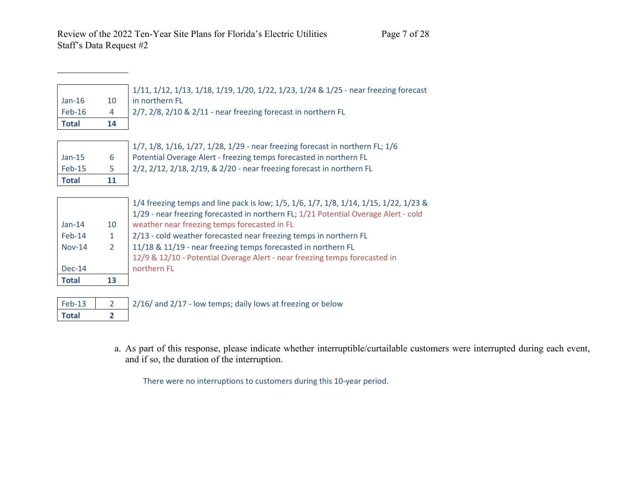| Page 7 of 28 |  |  |
|--------------|--|--|
|              |  |  |

|          |                 | 1/11, 1/12, 1/13, 1/18, 1/19, 1/20, 1/22, 1/23, 1/24 & 1/25 - near freezing forecast |
|----------|-----------------|--------------------------------------------------------------------------------------|
| Jan-16   | 10 <sup>1</sup> | l in northern FL                                                                     |
| $Feb-16$ |                 | $\frac{1}{2}$ 2/7, 2/8, 2/10 & 2/11 - near freezing forecast in northern FL          |
| Total    |                 |                                                                                      |

|              | $1/7$ , 1/8, 1/16, 1/27, 1/28, 1/29 - near freezing forecast in northern FL; 1/6 |
|--------------|----------------------------------------------------------------------------------|
| $Jan-15$     | Potential Overage Alert - freezing temps forecasted in northern FL               |
| Feb-15       | 2/2, 2/12, 2/18, 2/19, & 2/20 - near freezing forecast in northern FL            |
| <b>Total</b> |                                                                                  |

| Dec-14<br><b>Total</b> | 13 | northern FL                                                                                                                                                                  |
|------------------------|----|------------------------------------------------------------------------------------------------------------------------------------------------------------------------------|
|                        |    | 12/9 & 12/10 - Potential Overage Alert - near freezing temps forecasted in                                                                                                   |
| <b>Nov-14</b>          |    | 11/18 & 11/19 - near freezing temps forecasted in northern FL                                                                                                                |
| Feb-14                 |    | 2/13 - cold weather forecasted near freezing temps in northern FL                                                                                                            |
| $Jan-14$               | 10 | weather near freezing temps forecasted in FL                                                                                                                                 |
|                        |    | 1/4 freezing temps and line pack is low; 1/5, 1/6, 1/7, 1/8, 1/14, 1/15, 1/22, 1/23 &<br>1/29 - near freezing forecasted in northern FL; 1/21 Potential Overage Alert - cold |

|       | Feb-13 2 2/16/ and $2/17$ - low temps; daily lows at freezing or below |
|-------|------------------------------------------------------------------------|
| Total |                                                                        |

a. As part of this response, please indicate whether interruptible/curtailable customers were interrupted during each event, and if so, the duration of the interruption.

There were no interruptions to customers during this 10-year period.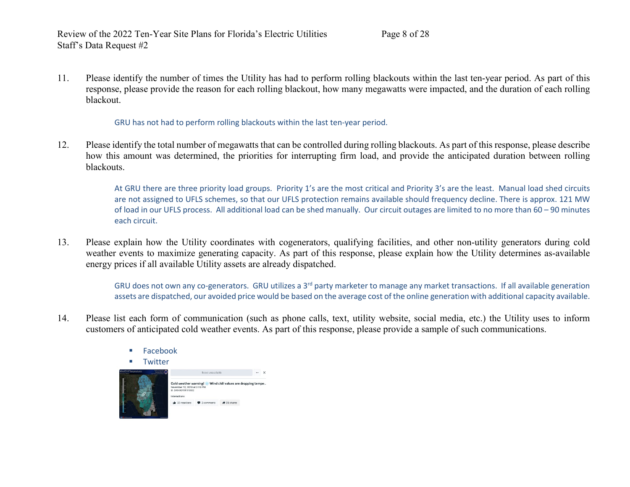11. Please identify the number of times the Utility has had to perform rolling blackouts within the last ten-year period. As part of this response, please provide the reason for each rolling blackout, how many megawatts were impacted, and the duration of each rolling blackout.

#### GRU has not had to perform rolling blackouts within the last ten-year period.

12. Please identify the total number of megawatts that can be controlled during rolling blackouts. As part of this response, please describe how this amount was determined, the priorities for interrupting firm load, and provide the anticipated duration between rolling blackouts.

> At GRU there are three priority load groups. Priority 1's are the most critical and Priority 3's are the least. Manual load shed circuits are not assigned to UFLS schemes, so that our UFLS protection remains available should frequency decline. There is approx. 121 MW of load in our UFLS process. All additional load can be shed manually. Our circuit outages are limited to no more than 60 – 90 minutes each circuit.

13. Please explain how the Utility coordinates with cogenerators, qualifying facilities, and other non-utility generators during cold weather events to maximize generating capacity. As part of this response, please explain how the Utility determines as-available energy prices if all available Utility assets are already dispatched.

> GRU does not own any co-generators. GRU utilizes a 3<sup>rd</sup> party marketer to manage any market transactions. If all available generation assets are dispatched, our avoided price would be based on the average cost of the online generation with additional capacity available.

14. Please list each form of communication (such as phone calls, text, utility website, social media, etc.) the Utility uses to inform customers of anticipated cold weather events. As part of this response, please provide a sample of such communications.

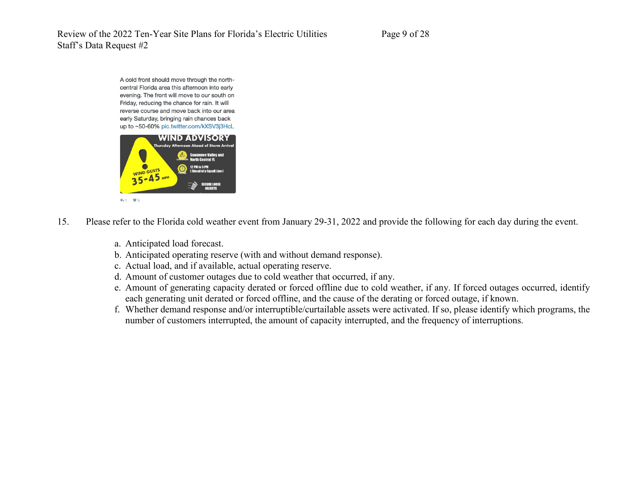A cold front should move through the northcentral Florida area this afternoon into early evening. The front will move to our south on Friday, reducing the chance for rain. It will reverse course and move back into our area early Saturday, bringing rain chances back up to ~50-60% pic.twitter.com/kXSV3j3HcL



- 15. Please refer to the Florida cold weather event from January 29-31, 2022 and provide the following for each day during the event.
	- a. Anticipated load forecast.
	- b. Anticipated operating reserve (with and without demand response).
	- c. Actual load, and if available, actual operating reserve.
	- d. Amount of customer outages due to cold weather that occurred, if any.
	- e. Amount of generating capacity derated or forced offline due to cold weather, if any. If forced outages occurred, identify each generating unit derated or forced offline, and the cause of the derating or forced outage, if known.
	- f. Whether demand response and/or interruptible/curtailable assets were activated. If so, please identify which programs, the number of customers interrupted, the amount of capacity interrupted, and the frequency of interruptions.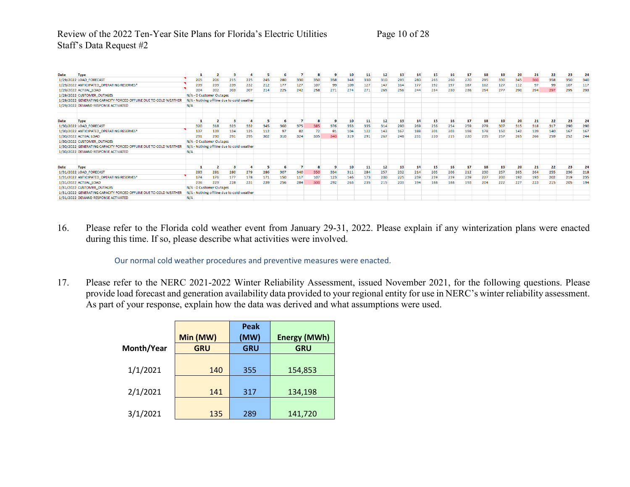## Review of the 2022 Ten-Year Site Plans for Florida's Electric Utilities Page 10 of 28 Staff's Data Request #2

| Date | <b>Type</b>                                                      |                                           |     |     | 4   |     | 6   |     | я   | -9  | 10  | 11  | 12  | 13  | 14  | 15  | 16  | 17  | 18  | 19  | 20  | 21  | 22  | 23  | 24  |
|------|------------------------------------------------------------------|-------------------------------------------|-----|-----|-----|-----|-----|-----|-----|-----|-----|-----|-----|-----|-----|-----|-----|-----|-----|-----|-----|-----|-----|-----|-----|
|      | 1/29/2022 LOAD_FORECAST                                          | 205                                       | 206 | 215 | 225 | 245 | 280 | 330 | 350 | 358 | 348 | 330 | 310 | 293 | 280 | 265 | 260 | 270 | 295 | 330 | 345 | 360 | 358 | 350 | 340 |
|      | 1/29/2022 ANTICIPATED_OPERATING RESERVES*                        | 239                                       | 239 | 239 | 232 | 212 | 177 | 127 | 107 | 99  | 109 | 127 | 147 | 164 | 177 | 192 | 197 | 187 | 162 | 127 | 112 | 97  | 99  | 107 | 117 |
|      | 1/29/2022 ACTUAL_LOAD                                            | 204                                       | 202 | 203 | 207 | 214 | 225 | 242 | 258 | 271 | 274 | 271 | 265 | 256 | 244 | 234 | 230 | 236 | 254 | 277 | 290 | 294 | 297 | 295 | 293 |
|      | 1/29/2022 CUSTOMER_OUTAGES                                       | N/A - 0 Customer Outages                  |     |     |     |     |     |     |     |     |     |     |     |     |     |     |     |     |     |     |     |     |     |     |     |
|      | 1/29/2022 GENERATING CAPACITY FORCED OFFLINE DUE TO COLD WEATHER | N/A - Nothing offline due to cold weather |     |     |     |     |     |     |     |     |     |     |     |     |     |     |     |     |     |     |     |     |     |     |     |
|      | 1/29/2022 DEMAND RESPONSE ACTIVATED                              | N/A                                       |     |     |     |     |     |     |     |     |     |     |     |     |     |     |     |     |     |     |     |     |     |     |     |
|      |                                                                  |                                           |     |     |     |     |     |     |     |     |     |     |     |     |     |     |     |     |     |     |     |     |     |     |     |
| Date | <b>Type</b>                                                      |                                           |     |     |     |     |     |     |     |     | 10  | 11  | 12  | 13  | 14  | 15  | 16  | 17  | 18  | 19  | 20  | 21  | 22  | 23  | 24  |
|      | 1/30/2022 LOAD_FORECAST                                          | 320                                       | 318 | 323 | 332 | 345 | 360 | 375 | 385 | 376 | 353 | 335 | 314 | 290 | 269 | 256 | 254 | 259 | 279 | 307 | 315 | 318 | 317 | 290 | 290 |
|      | 1/30/2022 ANTICIPATED_OPERATING RESERVES*                        | 137                                       | 139 | 134 | 125 | 112 | 97  | 82  | 72  | 81  | 104 | 122 | 143 | 167 | 188 | 201 | 203 | 198 | 178 | 150 | 142 | 139 | 140 | 167 | 167 |
|      | 1/30/2022 ACTUAL LOAD                                            | 291                                       | 290 | 291 | 295 | 302 | 310 | 324 | 335 | 340 | 319 | 291 | 267 | 248 | 231 | 220 | 215 | 220 | 235 | 257 | 265 | 266 | 259 | 252 | 244 |
|      | 1/30/2022 CUSTOMER_OUTAGES                                       | N/A - 0 Customer Outages                  |     |     |     |     |     |     |     |     |     |     |     |     |     |     |     |     |     |     |     |     |     |     |     |
|      | 1/30/2022 GENERATING CAPACITY FORCED OFFLINE DUE TO COLD WEATHER | N/A - Nothing offline due to cold weather |     |     |     |     |     |     |     |     |     |     |     |     |     |     |     |     |     |     |     |     |     |     |     |
|      | 1/30/2022 DEMAND RESPONSE ACTIVATED                              | N/A                                       |     |     |     |     |     |     |     |     |     |     |     |     |     |     |     |     |     |     |     |     |     |     |     |
|      |                                                                  |                                           |     |     |     |     |     |     |     |     |     |     |     |     |     |     |     |     |     |     |     |     |     |     |     |
| Date | <b>Type</b>                                                      |                                           |     |     |     |     |     |     |     |     | 10  | 11  | 12  | 13  | 14  | 15  | 16  | 17  | 18  | 19  | 20  | 21  | 22  | 23  | 24  |
|      | 1/31/2022 LOAD_FORECAST                                          | 283                                       | 281 | 280 | 279 | 286 | 307 | 340 | 350 | 334 | 311 | 284 | 257 | 232 | 214 | 205 | 206 | 212 | 230 | 257 | 265 | 264 | 255 | 236 | 218 |
|      | 1/31/2022 ANTICIPATED_OPERATING RESERVES*                        | 174                                       | 176 | 177 | 178 | 171 | 150 | 117 | 107 | 123 | 146 | 173 | 200 | 225 | 239 | 239 | 239 | 239 | 227 | 200 | 192 | 193 | 202 | 219 | 235 |
|      | 1/31/2022 ACTUAL_LOAD                                            | 236                                       | 229 | 228 | 231 | 239 | 256 | 284 | 300 | 292 | 263 | 235 | 215 | 203 | 194 | 188 | 188 | 193 | 204 | 222 | 227 | 223 | 215 | 205 | 194 |
|      | 1/31/2022 CUSTOMER_OUTAGES                                       | N/A - 0 Customer Outages                  |     |     |     |     |     |     |     |     |     |     |     |     |     |     |     |     |     |     |     |     |     |     |     |
|      | 1/31/2022 GENERATING CAPACITY FORCED OFFLINE DUE TO COLD WEATHER | N/A - Nothing offline due to cold weather |     |     |     |     |     |     |     |     |     |     |     |     |     |     |     |     |     |     |     |     |     |     |     |
|      | 1/31/2022 DEMAND RESPONSE ACTIVATED                              | N/A                                       |     |     |     |     |     |     |     |     |     |     |     |     |     |     |     |     |     |     |     |     |     |     |     |

16. Please refer to the Florida cold weather event from January 29-31, 2022. Please explain if any winterization plans were enacted during this time. If so, please describe what activities were involved.

Our normal cold weather procedures and preventive measures were enacted.

17. Please refer to the NERC 2021-2022 Winter Reliability Assessment, issued November 2021, for the following questions. Please provide load forecast and generation availability data provided to your regional entity for use in NERC's winter reliability assessment. As part of your response, explain how the data was derived and what assumptions were used.

|            | Min (MW)   | Peak<br>(MW) | <b>Energy (MWh)</b> |
|------------|------------|--------------|---------------------|
| Month/Year | <b>GRU</b> | <b>GRU</b>   | <b>GRU</b>          |
| 1/1/2021   | 140        | 355          | 154,853             |
| 2/1/2021   | 141        | 317          | 134,198             |
| 3/1/2021   | 135        | 289          | 141,720             |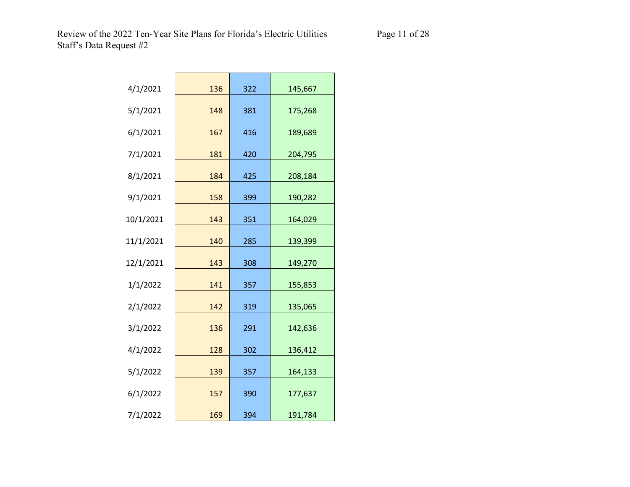| 4/1/2021  | 136 | 322 | 145,667 |
|-----------|-----|-----|---------|
| 5/1/2021  | 148 | 381 | 175,268 |
| 6/1/2021  | 167 | 416 | 189,689 |
| 7/1/2021  | 181 | 420 | 204,795 |
| 8/1/2021  | 184 | 425 | 208,184 |
| 9/1/2021  | 158 | 399 | 190,282 |
|           |     |     |         |
| 10/1/2021 | 143 | 351 | 164,029 |
| 11/1/2021 | 140 | 285 | 139,399 |
| 12/1/2021 | 143 | 308 | 149,270 |
| 1/1/2022  | 141 | 357 | 155,853 |
| 2/1/2022  | 142 | 319 | 135,065 |
| 3/1/2022  | 136 | 291 | 142,636 |
| 4/1/2022  | 128 | 302 | 136,412 |
| 5/1/2022  | 139 | 357 | 164,133 |
| 6/1/2022  | 157 | 390 | 177,637 |
| 7/1/2022  | 169 | 394 | 191,784 |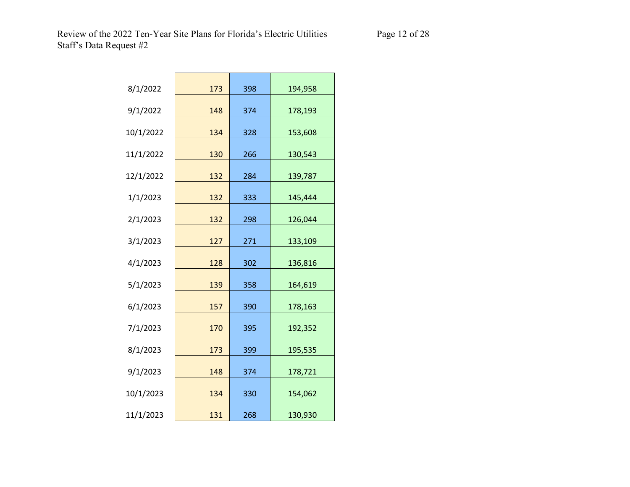| 8/1/2022  | 173 | 398 | 194,958 |
|-----------|-----|-----|---------|
| 9/1/2022  | 148 | 374 | 178,193 |
| 10/1/2022 | 134 | 328 | 153,608 |
| 11/1/2022 | 130 | 266 | 130,543 |
| 12/1/2022 | 132 | 284 | 139,787 |
| 1/1/2023  | 132 | 333 | 145,444 |
| 2/1/2023  | 132 | 298 | 126,044 |
| 3/1/2023  | 127 | 271 | 133,109 |
| 4/1/2023  | 128 | 302 | 136,816 |
| 5/1/2023  | 139 | 358 | 164,619 |
| 6/1/2023  | 157 | 390 | 178,163 |
| 7/1/2023  | 170 | 395 | 192,352 |
| 8/1/2023  | 173 | 399 | 195,535 |
| 9/1/2023  | 148 | 374 | 178,721 |
| 10/1/2023 | 134 | 330 | 154,062 |
| 11/1/2023 | 131 | 268 | 130,930 |
|           |     |     |         |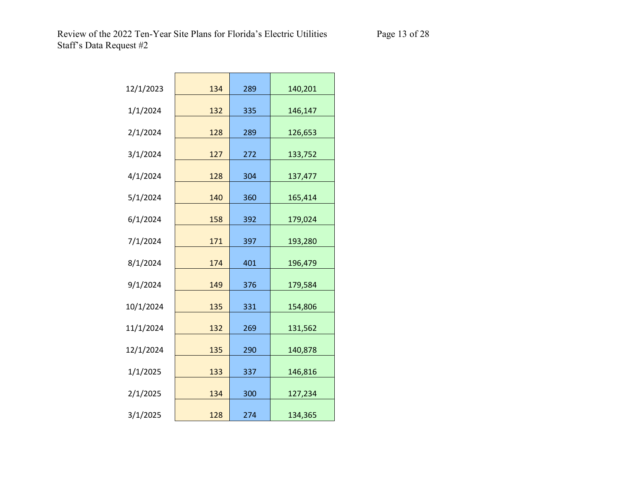| 12/1/2023 | 134 | 289 | 140,201 |
|-----------|-----|-----|---------|
| 1/1/2024  | 132 | 335 | 146,147 |
| 2/1/2024  | 128 | 289 | 126,653 |
| 3/1/2024  | 127 | 272 | 133,752 |
| 4/1/2024  | 128 | 304 | 137,477 |
| 5/1/2024  | 140 | 360 | 165,414 |
| 6/1/2024  | 158 | 392 | 179,024 |
| 7/1/2024  | 171 | 397 | 193,280 |
|           |     |     |         |
| 8/1/2024  | 174 | 401 | 196,479 |
| 9/1/2024  | 149 | 376 | 179,584 |
| 10/1/2024 | 135 | 331 | 154,806 |
| 11/1/2024 | 132 | 269 | 131,562 |
| 12/1/2024 | 135 | 290 | 140,878 |
| 1/1/2025  | 133 | 337 | 146,816 |
| 2/1/2025  | 134 | 300 | 127,234 |
| 3/1/2025  | 128 | 274 | 134,365 |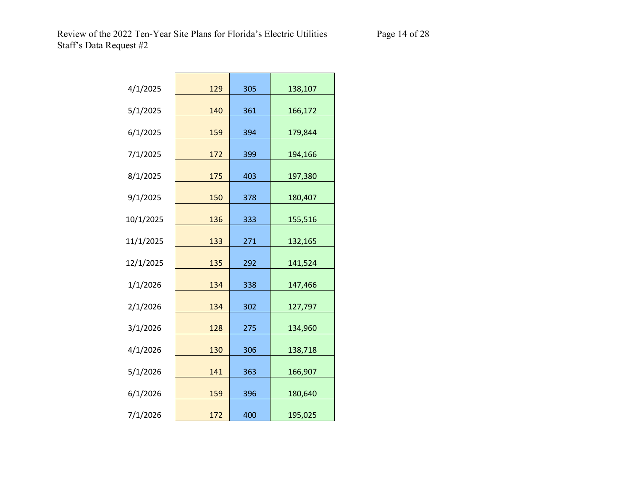| 4/1/2025  | 129 | 305 | 138,107 |
|-----------|-----|-----|---------|
| 5/1/2025  | 140 | 361 | 166,172 |
| 6/1/2025  | 159 | 394 | 179,844 |
| 7/1/2025  | 172 | 399 | 194,166 |
| 8/1/2025  | 175 | 403 | 197,380 |
| 9/1/2025  | 150 | 378 | 180,407 |
| 10/1/2025 | 136 | 333 | 155,516 |
|           |     |     |         |
| 11/1/2025 | 133 | 271 | 132,165 |
| 12/1/2025 | 135 | 292 | 141,524 |
| 1/1/2026  | 134 | 338 | 147,466 |
| 2/1/2026  | 134 | 302 | 127,797 |
| 3/1/2026  | 128 | 275 | 134,960 |
| 4/1/2026  | 130 | 306 | 138,718 |
| 5/1/2026  | 141 | 363 | 166,907 |
| 6/1/2026  | 159 | 396 | 180,640 |
| 7/1/2026  | 172 | 400 | 195,025 |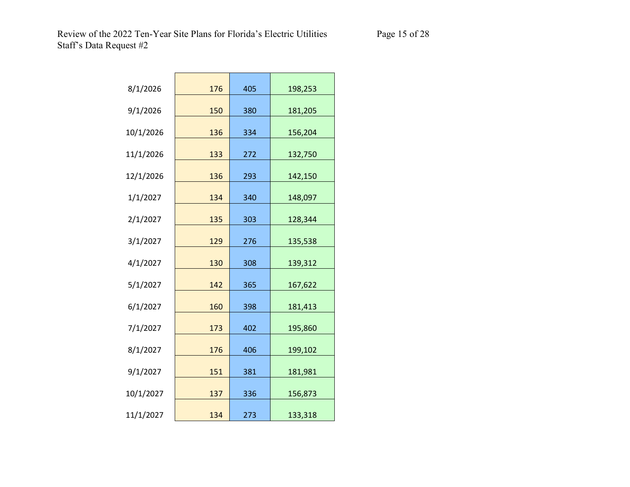| 176 | 405                                                  | 198,253                                       |
|-----|------------------------------------------------------|-----------------------------------------------|
| 150 | 380                                                  | 181,205                                       |
| 136 | 334                                                  | 156,204                                       |
| 133 | 272                                                  | 132,750                                       |
|     |                                                      | 142,150                                       |
|     |                                                      | 148,097                                       |
|     |                                                      | 128,344                                       |
|     |                                                      | 135,538                                       |
|     |                                                      | 139,312                                       |
|     |                                                      |                                               |
|     |                                                      | 167,622                                       |
|     |                                                      | 181,413                                       |
|     | 402                                                  | 195,860                                       |
| 176 | 406                                                  | 199,102                                       |
| 151 | 381                                                  | 181,981                                       |
| 137 | 336                                                  | 156,873                                       |
| 134 | 273                                                  | 133,318                                       |
|     | 136<br>134<br>135<br>129<br>130<br>142<br>160<br>173 | 293<br>340<br>303<br>276<br>308<br>365<br>398 |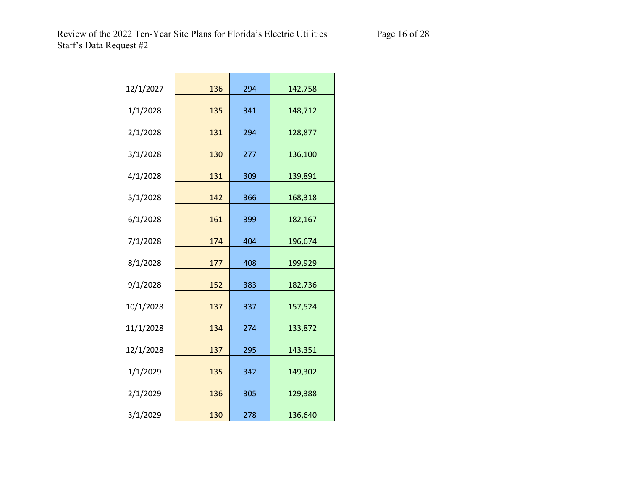| 136 | 294                                    | 142,758                                |
|-----|----------------------------------------|----------------------------------------|
| 135 | 341                                    | 148,712                                |
| 131 | 294                                    | 128,877                                |
| 130 | 277                                    | 136,100                                |
|     |                                        | 139,891                                |
|     |                                        | 168,318                                |
|     |                                        |                                        |
|     |                                        | 182,167                                |
| 174 | 404                                    | 196,674                                |
| 177 | 408                                    | 199,929                                |
| 152 | 383                                    | 182,736                                |
|     |                                        | 157,524                                |
|     |                                        | 133,872                                |
|     |                                        |                                        |
|     |                                        | 143,351                                |
| 135 | 342                                    | 149,302                                |
| 136 | 305                                    | 129,388                                |
| 130 | 278                                    | 136,640                                |
|     | 131<br>142<br>161<br>137<br>134<br>137 | 309<br>366<br>399<br>337<br>274<br>295 |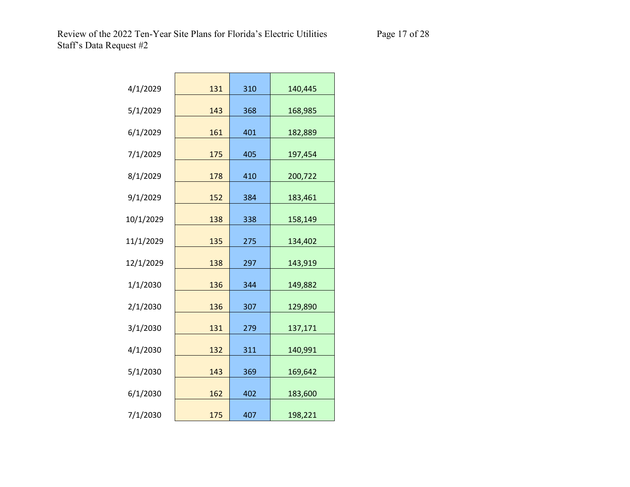| 4/1/2029  | 131 | 310 | 140,445 |
|-----------|-----|-----|---------|
| 5/1/2029  | 143 | 368 | 168,985 |
| 6/1/2029  | 161 | 401 | 182,889 |
| 7/1/2029  | 175 | 405 | 197,454 |
| 8/1/2029  | 178 | 410 | 200,722 |
| 9/1/2029  | 152 | 384 | 183,461 |
|           |     |     |         |
| 10/1/2029 | 138 | 338 | 158,149 |
| 11/1/2029 | 135 | 275 | 134,402 |
| 12/1/2029 | 138 | 297 | 143,919 |
| 1/1/2030  | 136 | 344 | 149,882 |
| 2/1/2030  | 136 | 307 | 129,890 |
| 3/1/2030  | 131 | 279 | 137,171 |
| 4/1/2030  | 132 | 311 | 140,991 |
| 5/1/2030  | 143 | 369 | 169,642 |
| 6/1/2030  | 162 | 402 | 183,600 |
| 7/1/2030  | 175 | 407 | 198,221 |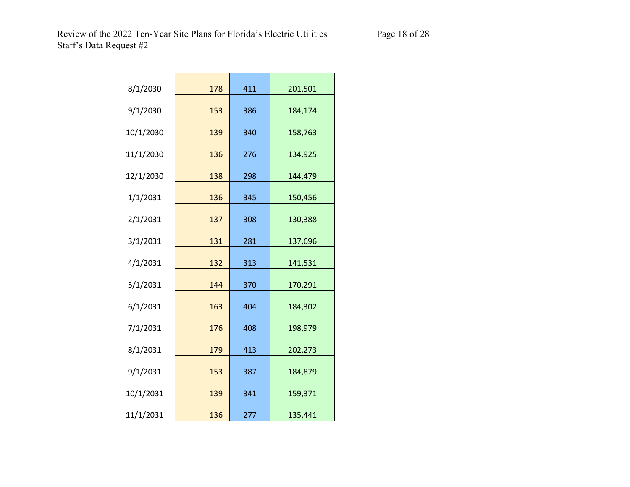| 8/1/2030  | 178 | 411 | 201,501 |
|-----------|-----|-----|---------|
| 9/1/2030  | 153 | 386 | 184,174 |
| 10/1/2030 | 139 | 340 | 158,763 |
| 11/1/2030 | 136 | 276 | 134,925 |
| 12/1/2030 | 138 | 298 | 144,479 |
| 1/1/2031  | 136 | 345 | 150,456 |
|           |     |     |         |
| 2/1/2031  | 137 | 308 | 130,388 |
| 3/1/2031  | 131 | 281 | 137,696 |
| 4/1/2031  | 132 | 313 | 141,531 |
| 5/1/2031  | 144 | 370 | 170,291 |
| 6/1/2031  | 163 | 404 | 184,302 |
| 7/1/2031  | 176 | 408 | 198,979 |
| 8/1/2031  | 179 | 413 | 202,273 |
| 9/1/2031  | 153 | 387 | 184,879 |
|           |     |     |         |
| 10/1/2031 | 139 | 341 | 159,371 |
| 11/1/2031 | 136 | 277 | 135,441 |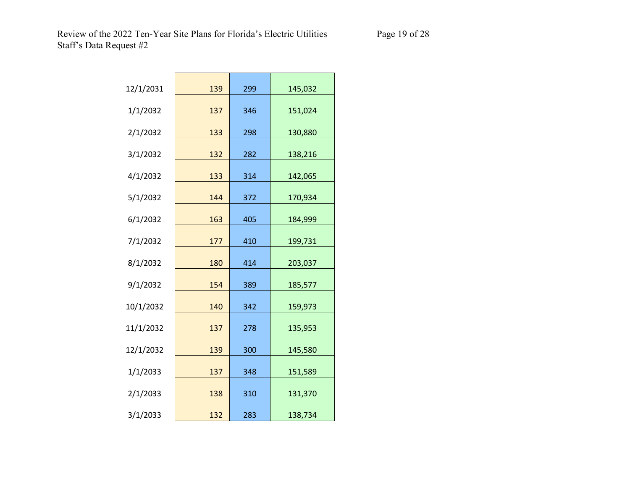| 139 | 299                                           | 145,032                                       |
|-----|-----------------------------------------------|-----------------------------------------------|
| 137 | 346                                           | 151,024                                       |
| 133 | 298                                           | 130,880                                       |
|     |                                               | 138,216                                       |
|     |                                               | 142,065                                       |
|     |                                               | 170,934                                       |
|     |                                               |                                               |
|     |                                               | 184,999                                       |
| 177 | 410                                           | 199,731                                       |
| 180 | 414                                           | 203,037                                       |
| 154 | 389                                           | 185,577                                       |
| 140 | 342                                           | 159,973                                       |
| 137 | 278                                           | 135,953                                       |
|     |                                               | 145,580                                       |
|     |                                               | 151,589                                       |
|     |                                               | 131,370                                       |
| 132 | 283                                           | 138,734                                       |
|     | 132<br>133<br>144<br>163<br>139<br>137<br>138 | 282<br>314<br>372<br>405<br>300<br>348<br>310 |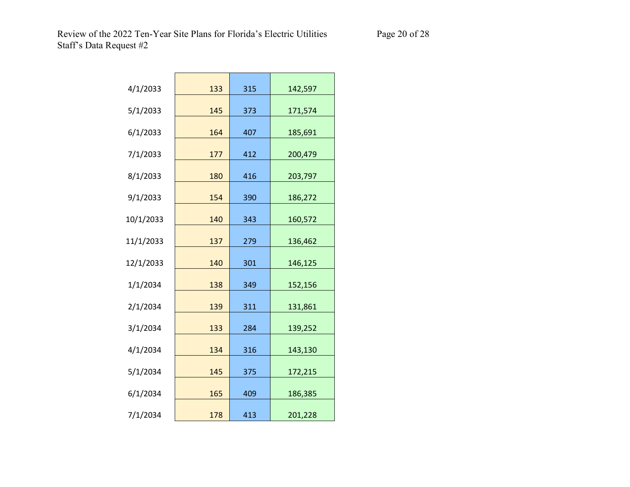| 4/1/2033  | 133 | 315 | 142,597 |
|-----------|-----|-----|---------|
| 5/1/2033  | 145 | 373 | 171,574 |
| 6/1/2033  | 164 | 407 | 185,691 |
| 7/1/2033  | 177 | 412 | 200,479 |
| 8/1/2033  | 180 | 416 | 203,797 |
| 9/1/2033  | 154 | 390 | 186,272 |
|           |     |     |         |
| 10/1/2033 | 140 | 343 | 160,572 |
| 11/1/2033 | 137 | 279 | 136,462 |
| 12/1/2033 | 140 | 301 | 146,125 |
| 1/1/2034  | 138 | 349 | 152,156 |
| 2/1/2034  | 139 | 311 | 131,861 |
| 3/1/2034  | 133 | 284 | 139,252 |
| 4/1/2034  | 134 | 316 | 143,130 |
| 5/1/2034  | 145 | 375 | 172,215 |
| 6/1/2034  | 165 | 409 | 186,385 |
| 7/1/2034  | 178 | 413 | 201,228 |
|           |     |     |         |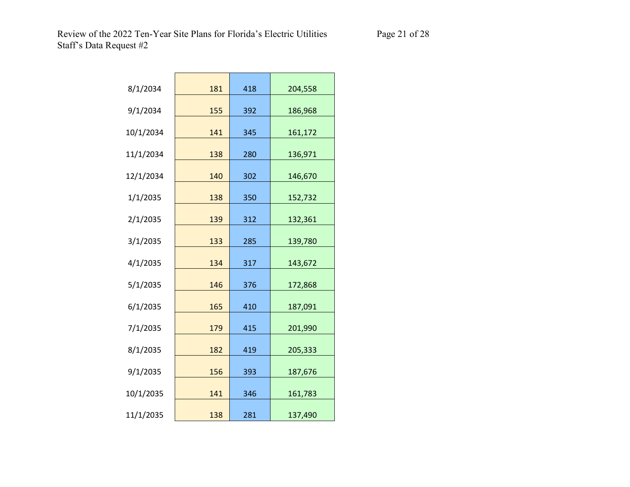| 8/1/2034  | 181 | 418 | 204,558 |
|-----------|-----|-----|---------|
| 9/1/2034  | 155 | 392 | 186,968 |
| 10/1/2034 | 141 | 345 | 161,172 |
| 11/1/2034 | 138 | 280 | 136,971 |
| 12/1/2034 | 140 | 302 | 146,670 |
| 1/1/2035  | 138 | 350 | 152,732 |
| 2/1/2035  |     |     |         |
|           | 139 | 312 | 132,361 |
| 3/1/2035  | 133 | 285 | 139,780 |
| 4/1/2035  | 134 | 317 | 143,672 |
| 5/1/2035  | 146 | 376 | 172,868 |
| 6/1/2035  | 165 | 410 | 187,091 |
| 7/1/2035  | 179 | 415 | 201,990 |
| 8/1/2035  | 182 | 419 | 205,333 |
| 9/1/2035  | 156 | 393 | 187,676 |
| 10/1/2035 | 141 | 346 | 161,783 |
|           |     |     |         |
| 11/1/2035 | 138 | 281 | 137,490 |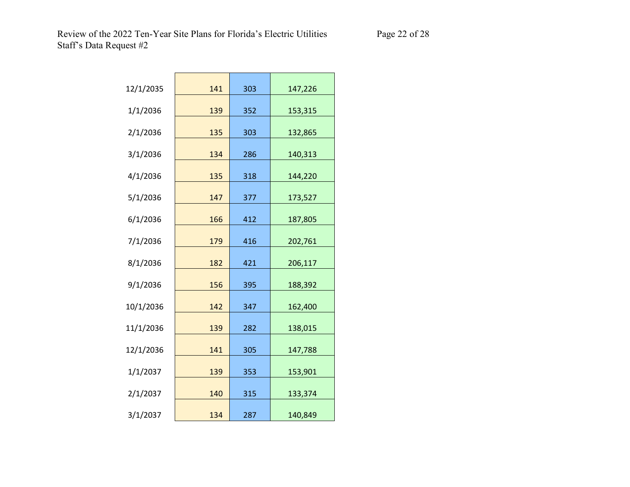| 12/1/2035 | 141 | 303 | 147,226 |
|-----------|-----|-----|---------|
| 1/1/2036  | 139 | 352 | 153,315 |
| 2/1/2036  | 135 | 303 | 132,865 |
| 3/1/2036  | 134 | 286 | 140,313 |
| 4/1/2036  | 135 | 318 | 144,220 |
| 5/1/2036  | 147 | 377 | 173,527 |
| 6/1/2036  | 166 | 412 | 187,805 |
|           |     |     |         |
| 7/1/2036  | 179 | 416 | 202,761 |
| 8/1/2036  | 182 | 421 | 206,117 |
| 9/1/2036  | 156 | 395 | 188,392 |
| 10/1/2036 | 142 | 347 | 162,400 |
| 11/1/2036 | 139 | 282 | 138,015 |
| 12/1/2036 | 141 | 305 | 147,788 |
| 1/1/2037  | 139 | 353 | 153,901 |
| 2/1/2037  | 140 | 315 | 133,374 |
| 3/1/2037  | 134 | 287 | 140,849 |
|           |     |     |         |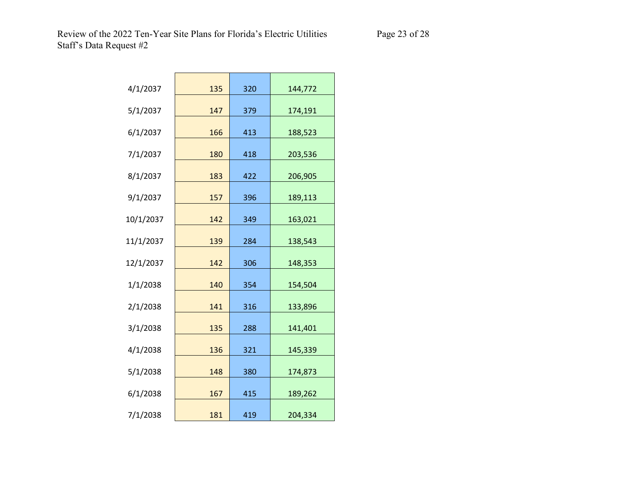| 4/1/2037  | 135 | 320 | 144,772 |
|-----------|-----|-----|---------|
| 5/1/2037  | 147 | 379 | 174,191 |
| 6/1/2037  | 166 | 413 | 188,523 |
| 7/1/2037  | 180 | 418 | 203,536 |
| 8/1/2037  | 183 | 422 | 206,905 |
| 9/1/2037  | 157 | 396 | 189,113 |
|           |     |     |         |
| 10/1/2037 | 142 | 349 | 163,021 |
| 11/1/2037 | 139 | 284 | 138,543 |
| 12/1/2037 | 142 | 306 | 148,353 |
| 1/1/2038  | 140 | 354 | 154,504 |
| 2/1/2038  | 141 | 316 | 133,896 |
| 3/1/2038  | 135 | 288 | 141,401 |
| 4/1/2038  | 136 | 321 | 145,339 |
| 5/1/2038  | 148 | 380 | 174,873 |
| 6/1/2038  | 167 | 415 | 189,262 |
| 7/1/2038  | 181 | 419 | 204,334 |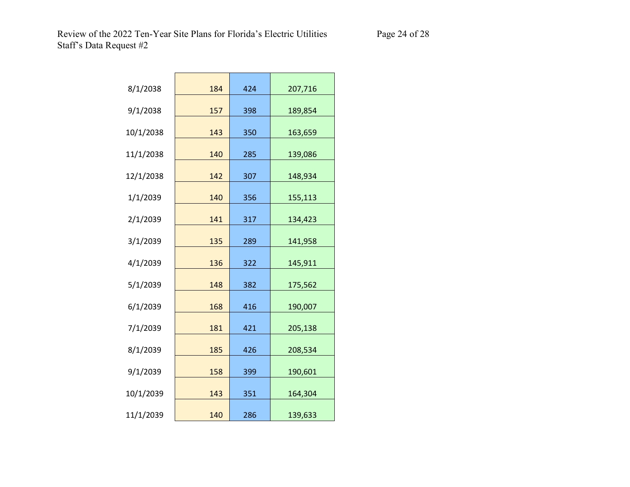| 184 | 424                                           | 207,716                                       |
|-----|-----------------------------------------------|-----------------------------------------------|
| 157 | 398                                           | 189,854                                       |
| 143 | 350                                           | 163,659                                       |
| 140 | 285                                           | 139,086                                       |
| 142 | 307                                           | 148,934                                       |
| 140 | 356                                           | 155,113                                       |
| 141 | 317                                           | 134,423                                       |
| 135 | 289                                           | 141,958                                       |
|     |                                               | 145,911                                       |
|     |                                               | 175,562                                       |
|     |                                               | 190,007                                       |
|     |                                               | 205,138                                       |
|     |                                               | 208,534                                       |
|     |                                               | 190,601                                       |
|     |                                               | 164,304                                       |
| 140 | 286                                           | 139,633                                       |
|     | 136<br>148<br>168<br>181<br>185<br>158<br>143 | 322<br>382<br>416<br>421<br>426<br>399<br>351 |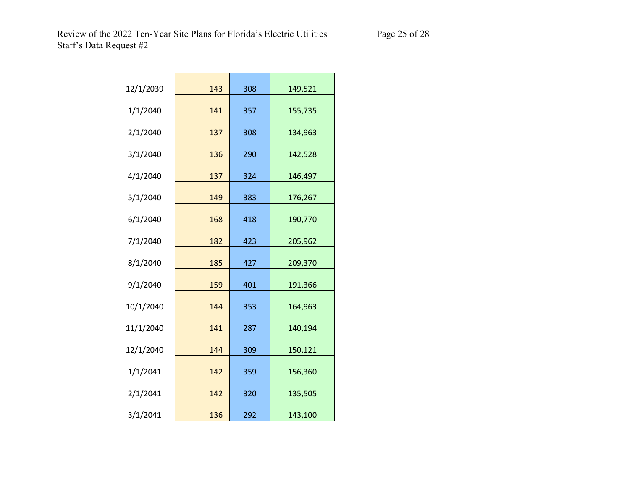| 12/1/2039 | 143 | 308 | 149,521 |
|-----------|-----|-----|---------|
| 1/1/2040  | 141 | 357 | 155,735 |
| 2/1/2040  | 137 | 308 | 134,963 |
| 3/1/2040  | 136 | 290 | 142,528 |
| 4/1/2040  | 137 | 324 | 146,497 |
| 5/1/2040  | 149 | 383 | 176,267 |
| 6/1/2040  | 168 | 418 | 190,770 |
| 7/1/2040  | 182 | 423 | 205,962 |
| 8/1/2040  | 185 | 427 | 209,370 |
| 9/1/2040  | 159 | 401 | 191,366 |
| 10/1/2040 | 144 | 353 | 164,963 |
| 11/1/2040 | 141 | 287 | 140,194 |
| 12/1/2040 | 144 | 309 | 150,121 |
| 1/1/2041  | 142 | 359 | 156,360 |
| 2/1/2041  | 142 | 320 | 135,505 |
| 3/1/2041  | 136 | 292 | 143,100 |
|           |     |     |         |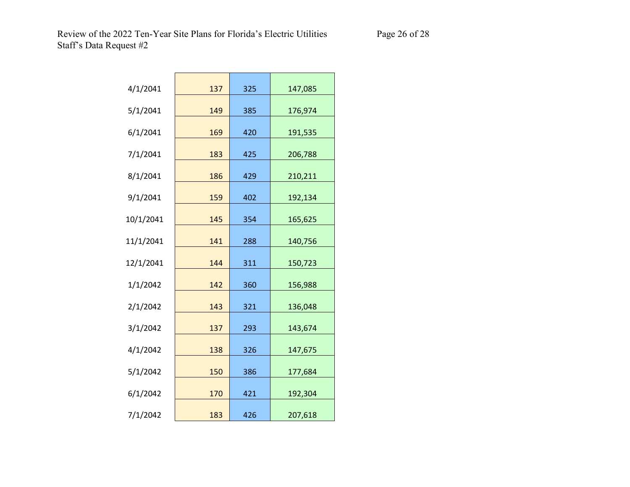| 4/1/2041  | 137 | 325 | 147,085 |
|-----------|-----|-----|---------|
| 5/1/2041  | 149 | 385 | 176,974 |
| 6/1/2041  | 169 | 420 | 191,535 |
| 7/1/2041  | 183 | 425 | 206,788 |
| 8/1/2041  | 186 | 429 | 210,211 |
|           |     |     |         |
| 9/1/2041  | 159 | 402 | 192,134 |
| 10/1/2041 | 145 | 354 | 165,625 |
| 11/1/2041 | 141 | 288 | 140,756 |
| 12/1/2041 | 144 | 311 | 150,723 |
| 1/1/2042  | 142 | 360 | 156,988 |
| 2/1/2042  | 143 | 321 | 136,048 |
| 3/1/2042  | 137 | 293 | 143,674 |
| 4/1/2042  | 138 | 326 | 147,675 |
| 5/1/2042  | 150 | 386 | 177,684 |
| 6/1/2042  | 170 | 421 | 192,304 |
| 7/1/2042  | 183 | 426 | 207,618 |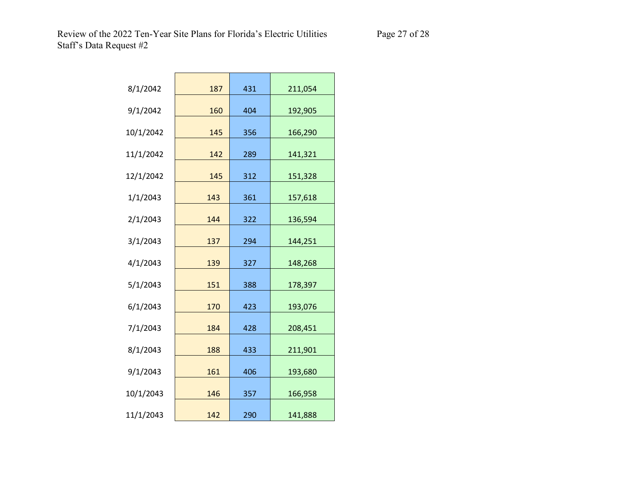| 8/1/2042  | 187 | 431 | 211,054 |
|-----------|-----|-----|---------|
| 9/1/2042  | 160 | 404 | 192,905 |
| 10/1/2042 | 145 | 356 | 166,290 |
| 11/1/2042 | 142 | 289 | 141,321 |
| 12/1/2042 | 145 | 312 | 151,328 |
| 1/1/2043  | 143 | 361 | 157,618 |
| 2/1/2043  | 144 | 322 | 136,594 |
| 3/1/2043  | 137 | 294 | 144,251 |
| 4/1/2043  | 139 | 327 | 148,268 |
| 5/1/2043  | 151 | 388 | 178,397 |
| 6/1/2043  | 170 | 423 |         |
|           |     |     | 193,076 |
| 7/1/2043  | 184 | 428 | 208,451 |
| 8/1/2043  | 188 | 433 | 211,901 |
| 9/1/2043  | 161 | 406 | 193,680 |
| 10/1/2043 | 146 | 357 | 166,958 |
| 11/1/2043 | 142 | 290 | 141,888 |